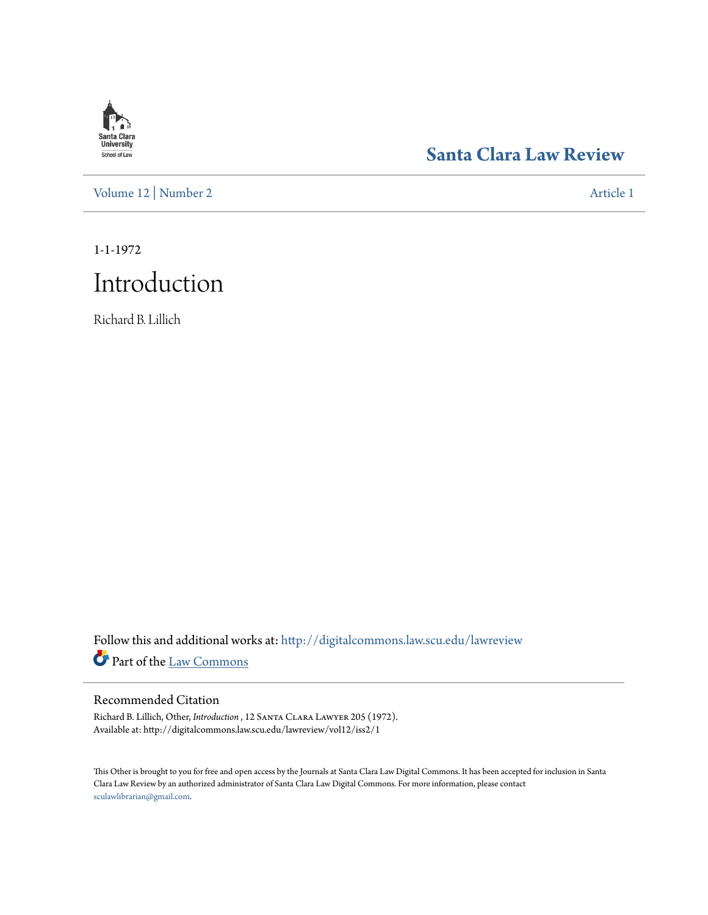# **Santa Clara**<br>**University** School of Law

## **[Santa Clara Law Review](http://digitalcommons.law.scu.edu/lawreview?utm_source=digitalcommons.law.scu.edu%2Flawreview%2Fvol12%2Fiss2%2F1&utm_medium=PDF&utm_campaign=PDFCoverPages)**

[Volume 12](http://digitalcommons.law.scu.edu/lawreview/vol12?utm_source=digitalcommons.law.scu.edu%2Flawreview%2Fvol12%2Fiss2%2F1&utm_medium=PDF&utm_campaign=PDFCoverPages) | [Number 2](http://digitalcommons.law.scu.edu/lawreview/vol12/iss2?utm_source=digitalcommons.law.scu.edu%2Flawreview%2Fvol12%2Fiss2%2F1&utm_medium=PDF&utm_campaign=PDFCoverPages) [Article 1](http://digitalcommons.law.scu.edu/lawreview/vol12/iss2/1?utm_source=digitalcommons.law.scu.edu%2Flawreview%2Fvol12%2Fiss2%2F1&utm_medium=PDF&utm_campaign=PDFCoverPages)

1-1-1972

# Introduction

Richard B. Lillich

Follow this and additional works at: [http://digitalcommons.law.scu.edu/lawreview](http://digitalcommons.law.scu.edu/lawreview?utm_source=digitalcommons.law.scu.edu%2Flawreview%2Fvol12%2Fiss2%2F1&utm_medium=PDF&utm_campaign=PDFCoverPages) Part of the [Law Commons](http://network.bepress.com/hgg/discipline/578?utm_source=digitalcommons.law.scu.edu%2Flawreview%2Fvol12%2Fiss2%2F1&utm_medium=PDF&utm_campaign=PDFCoverPages)

#### Recommended Citation

Richard B. Lillich, Other, *Introduction* , 12 Santa Clara Lawyer 205 (1972). Available at: http://digitalcommons.law.scu.edu/lawreview/vol12/iss2/1

This Other is brought to you for free and open access by the Journals at Santa Clara Law Digital Commons. It has been accepted for inclusion in Santa Clara Law Review by an authorized administrator of Santa Clara Law Digital Commons. For more information, please contact [sculawlibrarian@gmail.com](mailto:sculawlibrarian@gmail.com).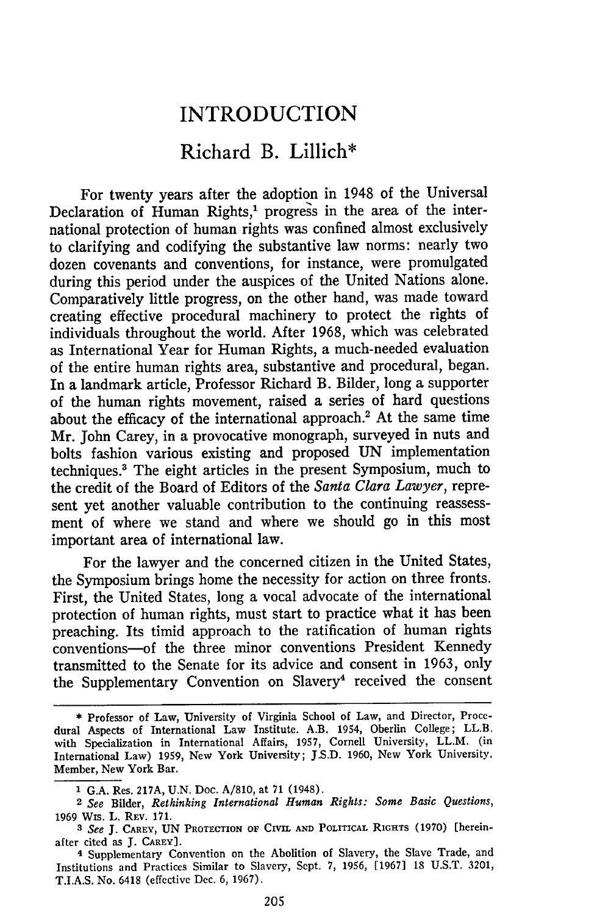### INTRODUCTION

### Richard B. Lillich\*

For twenty years after the adoption in 1948 of the Universal Declaration of Human Rights,' progress in the area of the international protection of human rights was confined almost exclusively to clarifying and codifying the substantive law norms: nearly two dozen covenants and conventions, for instance, were promulgated during this period under the auspices of the United Nations alone. Comparatively little progress, on the other hand, was made toward creating effective procedural machinery to protect the rights of individuals throughout the world. After 1968, which was celebrated as International Year for Human Rights, a much-needed evaluation of the entire human rights area, substantive and procedural, began. In a landmark article, Professor Richard B. Bilder, long a supporter of the human rights movement, raised a series of hard questions about the efficacy of the international approach.2 At the same time Mr. John Carey, in a provocative monograph, surveyed in nuts and bolts fashion various existing and proposed UN implementation techniques.3 The eight articles in the present Symposium, much to the credit of the Board of Editors of the *Santa Clara Lawyer,* represent yet another valuable contribution to the continuing reassessment of where we stand and where we should go in this most important area of international law.

For the lawyer and the concerned citizen in the United States, the Symposium brings home the necessity for action on three fronts. First, the United States, long a vocal advocate of the international protection of human rights, must start to practice what it has been preaching. Its timid approach to the ratification of human rights conventions-of the three minor conventions President Kennedy transmitted to the Senate for its advice and consent in 1963, only the Supplementary Convention on Slavery<sup>4</sup> received the consent

<sup>\*</sup> Professor of Law, University of Virginia School of Law, and Director, Procedural Aspects of International Law Institute. A.B. 1954, Oberlin College; LL.B. with Specialization in International Affairs, 1957, Cornell University, LL.M. (in International Law) 1959, New York University; J.S.D. 1960, New York University. Member, New York Bar.

**<sup>1</sup>** G.A. Res. 217A, U.N. Doc. A/810, at 71 (1948).

<sup>2</sup> *See* Bilder, *Rethinking International Human Rights: Some Basic Questions,* 1969 Wis. L. REV. 171.

*<sup>3</sup> See* **J.** CAREY, **UN** PROTECTION **OF CIVIL** AND POLITICAL RIGHTS (1970) [hereinafter cited as **J.** CAREY].

**<sup>4</sup>** Supplementary Convention on the Abolition of Slavery, the Slave Trade, and Institutions and Practices Similar to Slavery, Sept. 7, 1956, [1967] 18 **U.S.T.** 3201, **T.I.A.S.** No. 6418 (effective Dec. 6, 1967).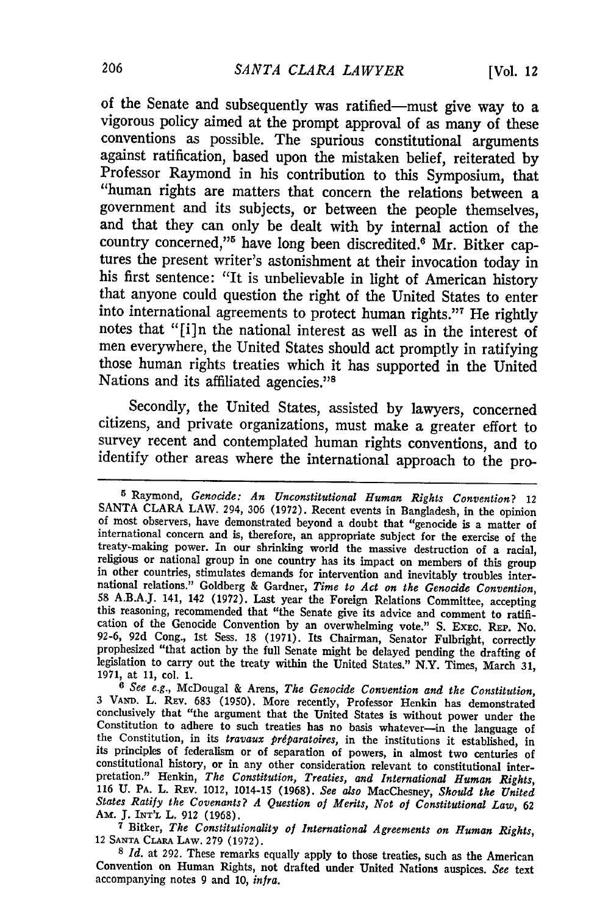of the Senate and subsequently was ratified-must give way to a vigorous policy aimed at the prompt approval of as many of these conventions as possible. The spurious constitutional arguments against ratification, based upon the mistaken belief, reiterated by Professor Raymond in his contribution to this Symposium, that "human rights are matters that concern the relations between a government and its subjects, or between the people themselves, and that they can only be dealt with **by** internal action of the country concerned,"<sup>5</sup> have long been discredited.<sup>6</sup> Mr. Bitker captures the present writer's astonishment at their invocation today in his first sentence: "It is unbelievable in light of American history that anyone could question the right of the United States to enter into international agreements to protect human rights."7 He rightly notes that **"[i]n** the national interest as well as in the interest of men everywhere, the United States should act promptly in ratifying those human rights treaties which it has supported in the United Nations and its affiliated agencies."<sup>8</sup>

Secondly, the United States, assisted **by** lawyers, concerned citizens, and private organizations, must make a greater effort to survey recent and contemplated human rights conventions, and to identify other areas where the international approach to the pro-

**<sup>5</sup>**Raymond, *Genocide: An Unconstitutional Human Rights Convention?* 12 **SANTA** CLARA LAW. 294, **306 (1972).** Recent events in Bangladesh, in the opinion of most observers, have demonstrated beyond a doubt that "genocide is a matter of treaty-making power. In our shrinking world the massive destruction of a racial, religious or national group in one country has its impact on members of this group in other countries, stimulates demands for intervention a this reasoning, recommended that "the Senate give its advice and comment to ratification of the Genocide Convention **by** an overwhelming vote." **S. EXEC.** REP. No. **92-6, 92d** Cong., **1st** Sess. **18 (1971).** Its Chairman, Senator Fulbright, correctly prophesized "that action **by** the full Senate might be delayed pending the drafting of prophesized "that action by the full Senate might be delayed pending the drafting of legislation to carry out the treaty within the United States." N.Y. Times, March 31, 1971, at 11, col. 1.

**<sup>1971,</sup>** at **11,** col. **1. <sup>6</sup>***See e.g.,* McDougal & Arens, *The Genocide Convention and the Constitution,* 3 VA". L. **REV. 683 (1950).** More recently, Professor Henkin has demonstrated conclusively that "the argument that the United States is without power under the Constitution to adhere to such treaties has no basis whatever-in the language of the Constitution, in its *travaux priparatoires,* in the institutions it established, in its principles of federalism or of separation of powers, in almost two centuries of constitutional history, or in any other consideration relevant to constitutional inter-<br>pretation." Henkin, The Constitution, Treaties, and International Human Rights,<br>116 U. PA. L. REV. 1012, 1014-15 (1968). See also MacC *States Ratify the Covenants? A Question of Merits, Not of Constitutional Law,* <sup>62</sup> Am. **J. INT'L** L. **912 (1968).**

**<sup>7</sup>**Bitker, *The Constitutionality of International Agreements on Human Rights,* <sup>12</sup>**SANTA CLARA LAW. 279 (1972).** *S Id.* at **292.** These remarks equally apply to those treaties, such as the American

Convention on Human Rights, not drafted under United Nations auspices. *See* text accompanying notes 9 and **10,** *infra.*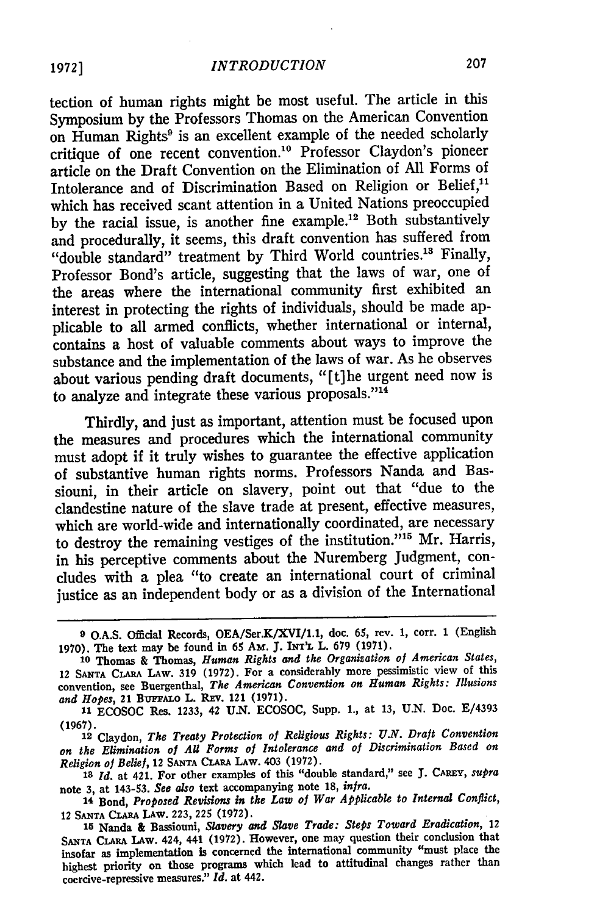tection of human rights might be most useful. The article in this Symposium by the Professors Thomas on the American Convention on Human Rights<sup>9</sup> is an excellent example of the needed scholarly critique of one recent convention.'0 Professor Claydon's pioneer article on the Draft Convention on the Elimination of All Forms of Intolerance and of Discrimination Based on Religion or Belief,<sup>11</sup> which has received scant attention in a United Nations preoccupied by the racial issue, is another fine example.<sup>12</sup> Both substantively and procedurally, it seems, this draft convention has suffered from "double standard" treatment by Third World countries.'3 Finally, Professor Bond's article, suggesting that the laws of war, one of the areas where the international community first exhibited an interest in protecting the rights of individuals, should be made applicable to all armed conflicts, whether international or internal, contains a host of valuable comments about ways to improve the substance and the implementation of the laws of war. As he observes about various pending draft documents, "[t]he urgent need now is to analyze and integrate these various proposals." $14$ 

Thirdly, and just as important, attention must be focused upon the measures and procedures which the international community must adopt if it truly wishes to guarantee the effective application of substantive human rights norms. Professors Nanda and Bassiouni, in their article on slavery, point out that "due to the clandestine nature of the slave trade at present, effective measures, which are world-wide and internationally coordinated, are necessary to destroy the remaining vestiges of the institution."<sup>15</sup> Mr. Harris, in his perceptive comments about the Nuremberg Judgment, concludes with a plea "to create an international court of criminal justice as an independent body or as a division of the International

**<sup>9</sup> O.A.S.** Official Records, OEA/Ser.K/XVI/1.1, doc. **65,** rev. **1,** corr. 1 (English **1970).** The text may be found in 65 *Am.* **J. INT'IL** L. **679 (1971).**

**<sup>10</sup>**Thomas **&** Thomas, *Human Rights and the Organization of American States,* <sup>12</sup>**SANTA** CLARA **LAW.** 319 (1972). For a considerably more pessimistic view of this convention, see Buergenthal, *The American Convention on Human Rights: Illusions and Hopes,* 21 **BuFFALo** L. REv. 121 (1971).

**<sup>11</sup>ECOSOC** Res. **1233,** 42 **U.N.** ECOSOC, Supp. 1., at 13, **U.N.** Doc. E/4393 (1967).

**<sup>12</sup>**Claydon, *The Treaty Protection of Religious Rights: U.N. Draft Convention on the Elimination of All Forms of Intolerance and of Discrimination Based on Religion of Belief,* 12 SANTA **CLARA LAW.** 403 **(1972).**

*<sup>13</sup> Id.* at 421. For other examples of this "double standard," see **J.** CARFY, *supra* **note 3,** at 143-53. *See also* text accompanying note **18,** *infra.*

<sup>14</sup> Bond, *Proposed Revisions in the Law of War Applicable to Internal Conflict,* 12 **SANTA CLARA LAW. 223, 225 (1972).**

**<sup>15</sup>**Nanda **&** Bassiouni, *Slavery and Slave Trade: Steps Toward Eradication, 12* **SANTA CLARA** LAW. 424, 441 **(1972).** However, one may question their conclusion that insofar as implementation **is** concerned the international community "must place the highest priority on those programs which lead to attitudinal changes rather than coercive-repressive measures." *Id.* at 442.